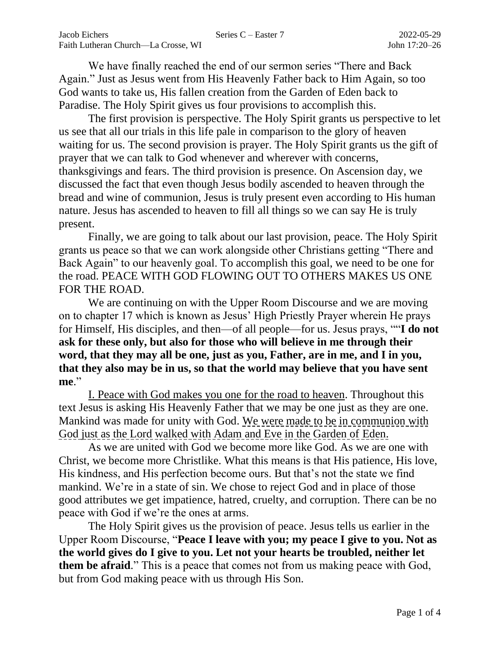We have finally reached the end of our sermon series "There and Back Again." Just as Jesus went from His Heavenly Father back to Him Again, so too God wants to take us, His fallen creation from the Garden of Eden back to Paradise. The Holy Spirit gives us four provisions to accomplish this.

The first provision is perspective. The Holy Spirit grants us perspective to let us see that all our trials in this life pale in comparison to the glory of heaven waiting for us. The second provision is prayer. The Holy Spirit grants us the gift of prayer that we can talk to God whenever and wherever with concerns, thanksgivings and fears. The third provision is presence. On Ascension day, we discussed the fact that even though Jesus bodily ascended to heaven through the bread and wine of communion, Jesus is truly present even according to His human nature. Jesus has ascended to heaven to fill all things so we can say He is truly present.

Finally, we are going to talk about our last provision, peace. The Holy Spirit grants us peace so that we can work alongside other Christians getting "There and Back Again" to our heavenly goal. To accomplish this goal, we need to be one for the road. PEACE WITH GOD FLOWING OUT TO OTHERS MAKES US ONE FOR THE ROAD.

We are continuing on with the Upper Room Discourse and we are moving on to chapter 17 which is known as Jesus' High Priestly Prayer wherein He prays for Himself, His disciples, and then—of all people—for us. Jesus prays, ""**I do not ask for these only, but also for those who will believe in me through their word, that they may all be one, just as you, Father, are in me, and I in you, that they also may be in us, so that the world may believe that you have sent me**."

I. Peace with God makes you one for the road to heaven. Throughout this text Jesus is asking His Heavenly Father that we may be one just as they are one. Mankind was made for unity with God. We were made to be in communion with God just as the Lord walked with Adam and Eve in the Garden of Eden.

As we are united with God we become more like God. As we are one with Christ, we become more Christlike. What this means is that His patience, His love, His kindness, and His perfection become ours. But that's not the state we find mankind. We're in a state of sin. We chose to reject God and in place of those good attributes we get impatience, hatred, cruelty, and corruption. There can be no peace with God if we're the ones at arms.

The Holy Spirit gives us the provision of peace. Jesus tells us earlier in the Upper Room Discourse, "**Peace I leave with you; my peace I give to you. Not as the world gives do I give to you. Let not your hearts be troubled, neither let them be afraid**." This is a peace that comes not from us making peace with God, but from God making peace with us through His Son.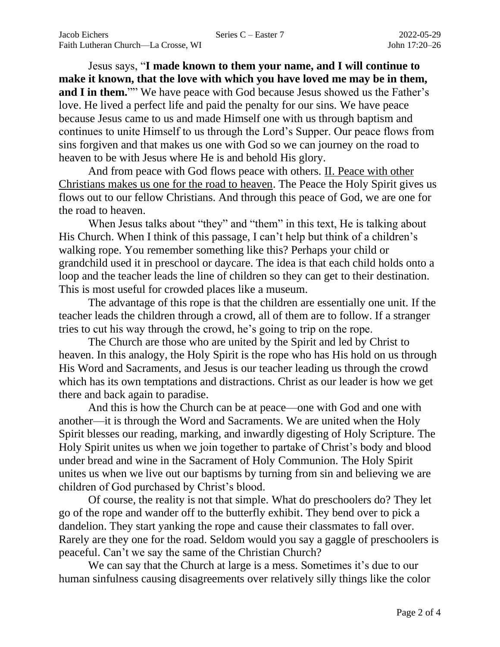Jesus says, "**I made known to them your name, and I will continue to make it known, that the love with which you have loved me may be in them, and I in them.**"" We have peace with God because Jesus showed us the Father's love. He lived a perfect life and paid the penalty for our sins. We have peace because Jesus came to us and made Himself one with us through baptism and continues to unite Himself to us through the Lord's Supper. Our peace flows from sins forgiven and that makes us one with God so we can journey on the road to heaven to be with Jesus where He is and behold His glory.

And from peace with God flows peace with others. II. Peace with other Christians makes us one for the road to heaven. The Peace the Holy Spirit gives us flows out to our fellow Christians. And through this peace of God, we are one for the road to heaven.

When Jesus talks about "they" and "them" in this text, He is talking about His Church. When I think of this passage, I can't help but think of a children's walking rope. You remember something like this? Perhaps your child or grandchild used it in preschool or daycare. The idea is that each child holds onto a loop and the teacher leads the line of children so they can get to their destination. This is most useful for crowded places like a museum.

The advantage of this rope is that the children are essentially one unit. If the teacher leads the children through a crowd, all of them are to follow. If a stranger tries to cut his way through the crowd, he's going to trip on the rope.

The Church are those who are united by the Spirit and led by Christ to heaven. In this analogy, the Holy Spirit is the rope who has His hold on us through His Word and Sacraments, and Jesus is our teacher leading us through the crowd which has its own temptations and distractions. Christ as our leader is how we get there and back again to paradise.

And this is how the Church can be at peace—one with God and one with another—it is through the Word and Sacraments. We are united when the Holy Spirit blesses our reading, marking, and inwardly digesting of Holy Scripture. The Holy Spirit unites us when we join together to partake of Christ's body and blood under bread and wine in the Sacrament of Holy Communion. The Holy Spirit unites us when we live out our baptisms by turning from sin and believing we are children of God purchased by Christ's blood.

Of course, the reality is not that simple. What do preschoolers do? They let go of the rope and wander off to the butterfly exhibit. They bend over to pick a dandelion. They start yanking the rope and cause their classmates to fall over. Rarely are they one for the road. Seldom would you say a gaggle of preschoolers is peaceful. Can't we say the same of the Christian Church?

We can say that the Church at large is a mess. Sometimes it's due to our human sinfulness causing disagreements over relatively silly things like the color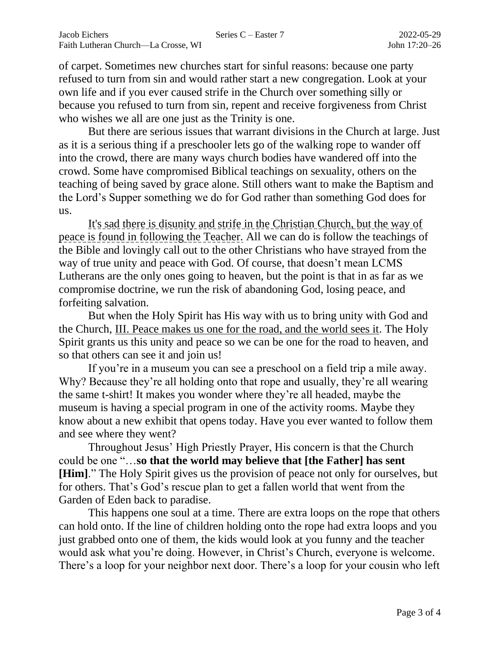of carpet. Sometimes new churches start for sinful reasons: because one party refused to turn from sin and would rather start a new congregation. Look at your own life and if you ever caused strife in the Church over something silly or because you refused to turn from sin, repent and receive forgiveness from Christ who wishes we all are one just as the Trinity is one.

But there are serious issues that warrant divisions in the Church at large. Just as it is a serious thing if a preschooler lets go of the walking rope to wander off into the crowd, there are many ways church bodies have wandered off into the crowd. Some have compromised Biblical teachings on sexuality, others on the teaching of being saved by grace alone. Still others want to make the Baptism and the Lord's Supper something we do for God rather than something God does for us.

It's sad there is disunity and strife in the Christian Church, but the way of peace is found in following the Teacher. All we can do is follow the teachings of the Bible and lovingly call out to the other Christians who have strayed from the way of true unity and peace with God. Of course, that doesn't mean LCMS Lutherans are the only ones going to heaven, but the point is that in as far as we compromise doctrine, we run the risk of abandoning God, losing peace, and forfeiting salvation.

But when the Holy Spirit has His way with us to bring unity with God and the Church, III. Peace makes us one for the road, and the world sees it. The Holy Spirit grants us this unity and peace so we can be one for the road to heaven, and so that others can see it and join us!

If you're in a museum you can see a preschool on a field trip a mile away. Why? Because they're all holding onto that rope and usually, they're all wearing the same t-shirt! It makes you wonder where they're all headed, maybe the museum is having a special program in one of the activity rooms. Maybe they know about a new exhibit that opens today. Have you ever wanted to follow them and see where they went?

Throughout Jesus' High Priestly Prayer, His concern is that the Church could be one "…**so that the world may believe that [the Father] has sent [Him]**." The Holy Spirit gives us the provision of peace not only for ourselves, but for others. That's God's rescue plan to get a fallen world that went from the Garden of Eden back to paradise.

This happens one soul at a time. There are extra loops on the rope that others can hold onto. If the line of children holding onto the rope had extra loops and you just grabbed onto one of them, the kids would look at you funny and the teacher would ask what you're doing. However, in Christ's Church, everyone is welcome. There's a loop for your neighbor next door. There's a loop for your cousin who left